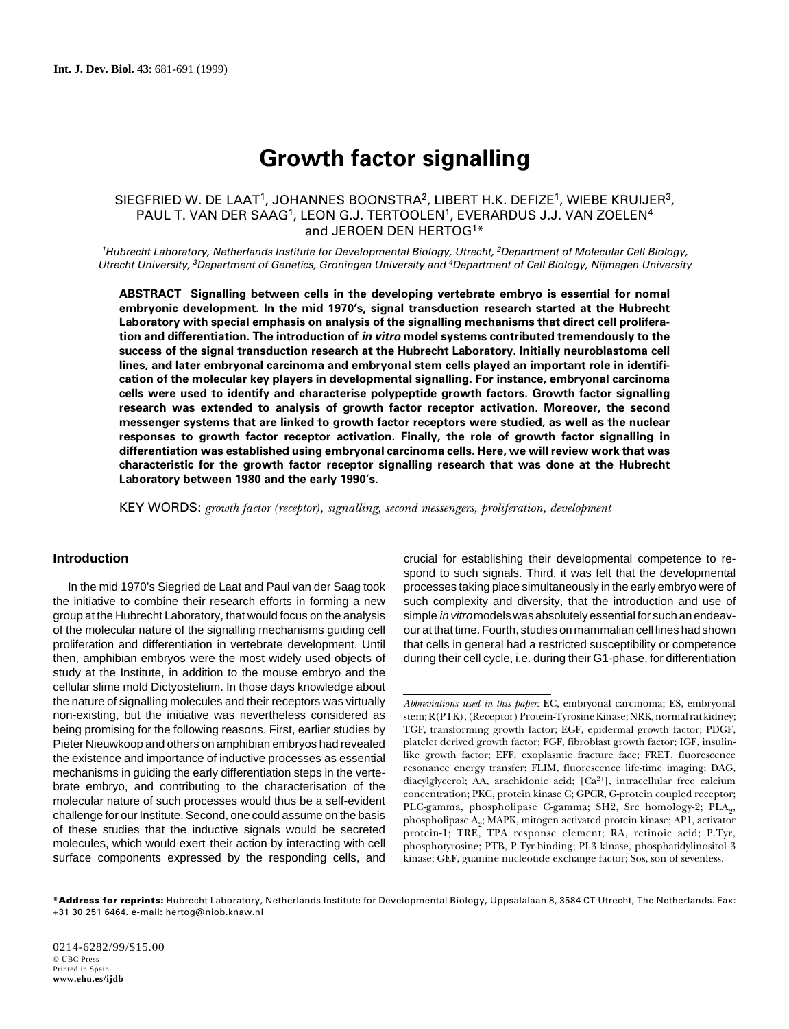# **Growth factor signalling**

# SIEGFRIED W. DE LAAT<sup>1</sup>, JOHANNES BOONSTRA<sup>2</sup>, LIBERT H.K. DEFIZE<sup>1</sup>, WIEBE KRUIJER<sup>3</sup>, PAUL T. VAN DER SAAG<sup>1</sup>, LEON G.J. TERTOOLEN<sup>1</sup>, EVERARDUS J.J. VAN ZOELEN<sup>4</sup> and JEROEN DEN HERTOG1\*

<sup>1</sup>Hubrecht Laboratory, Netherlands Institute for Developmental Biology, Utrecht, <sup>2</sup>Department of Molecular Cell Biology, Utrecht University, <sup>3</sup>Department of Genetics, Groningen University and <sup>4</sup>Department of Cell Biology, Nijmegen University

**ABSTRACT Signalling between cells in the developing vertebrate embryo is essential for nomal embryonic development. In the mid 1970's, signal transduction research started at the Hubrecht Laboratory with special emphasis on analysis of the signalling mechanisms that direct cell proliferation and differentiation. The introduction of in vitro model systems contributed tremendously to the success of the signal transduction research at the Hubrecht Laboratory. Initially neuroblastoma cell lines, and later embryonal carcinoma and embryonal stem cells played an important role in identification of the molecular key players in developmental signalling. For instance, embryonal carcinoma cells were used to identify and characterise polypeptide growth factors. Growth factor signalling research was extended to analysis of growth factor receptor activation. Moreover, the second messenger systems that are linked to growth factor receptors were studied, as well as the nuclear responses to growth factor receptor activation. Finally, the role of growth factor signalling in differentiation was established using embryonal carcinoma cells. Here, we will review work that was characteristic for the growth factor receptor signalling research that was done at the Hubrecht Laboratory between 1980 and the early 1990's.**

KEY WORDS: *growth factor (receptor), signalling, second messengers, proliferation, development*

## **Introduction**

In the mid 1970's Siegried de Laat and Paul van der Saag took the initiative to combine their research efforts in forming a new group at the Hubrecht Laboratory, that would focus on the analysis of the molecular nature of the signalling mechanisms guiding cell proliferation and differentiation in vertebrate development. Until then, amphibian embryos were the most widely used objects of study at the Institute, in addition to the mouse embryo and the cellular slime mold Dictyostelium. In those days knowledge about the nature of signalling molecules and their receptors was virtually non-existing, but the initiative was nevertheless considered as being promising for the following reasons. First, earlier studies by Pieter Nieuwkoop and others on amphibian embryos had revealed the existence and importance of inductive processes as essential mechanisms in guiding the early differentiation steps in the vertebrate embryo, and contributing to the characterisation of the molecular nature of such processes would thus be a self-evident challenge for our Institute. Second, one could assume on the basis of these studies that the inductive signals would be secreted molecules, which would exert their action by interacting with cell surface components expressed by the responding cells, and

crucial for establishing their developmental competence to respond to such signals. Third, it was felt that the developmental processes taking place simultaneously in the early embryo were of such complexity and diversity, that the introduction and use of simple in vitro models was absolutely essential for such an endeavour at that time. Fourth, studies on mammalian cell lines had shown that cells in general had a restricted susceptibility or competence during their cell cycle, i.e. during their G1-phase, for differentiation

*Abbreviations used in this paper:* EC, embryonal carcinoma; ES, embryonal stem; R(PTK), (Receptor) Protein-Tyrosine Kinase; NRK, normal rat kidney; TGF, transforming growth factor; EGF, epidermal growth factor; PDGF, platelet derived growth factor; FGF, fibroblast growth factor; IGF, insulinlike growth factor; EFF, exoplasmic fracture face; FRET, fluorescence resonance energy transfer; FLIM, fluorescence life-time imaging; DAG, diacylglycerol; AA, arachidonic acid; [Ca<sup>2+</sup>], intracellular free calcium concentration; PKC, protein kinase C; GPCR, G-protein coupled receptor; PLC-gamma, phospholipase C-gamma; SH2, Src homology-2; PLA<sub>2</sub>, phospholipase A2; MAPK, mitogen activated protein kinase; AP1, activator protein-1; TRE, TPA response element; RA, retinoic acid; P.Tyr, phosphotyrosine; PTB, P.Tyr-binding; PI-3 kinase, phosphatidylinositol 3 kinase; GEF, guanine nucleotide exchange factor; Sos, son of sevenless.

**<sup>\*</sup>Address for reprints:** Hubrecht Laboratory, Netherlands Institute for Developmental Biology, Uppsalalaan 8, 3584 CT Utrecht, The Netherlands. Fax: +31 30 251 6464. e-mail: hertog@niob.knaw.nl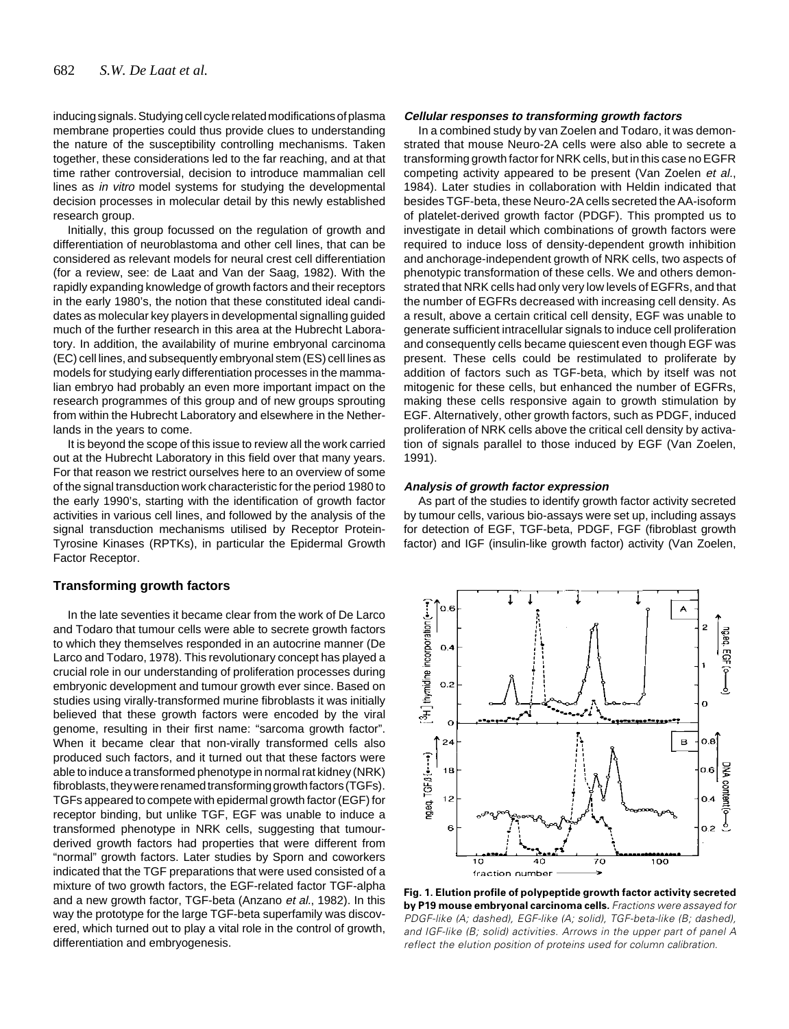inducing signals. Studying cell cycle related modifications of plasma membrane properties could thus provide clues to understanding the nature of the susceptibility controlling mechanisms. Taken together, these considerations led to the far reaching, and at that time rather controversial, decision to introduce mammalian cell lines as in vitro model systems for studying the developmental decision processes in molecular detail by this newly established research group.

Initially, this group focussed on the regulation of growth and differentiation of neuroblastoma and other cell lines, that can be considered as relevant models for neural crest cell differentiation (for a review, see: de Laat and Van der Saag, 1982). With the rapidly expanding knowledge of growth factors and their receptors in the early 1980's, the notion that these constituted ideal candidates as molecular key players in developmental signalling quided much of the further research in this area at the Hubrecht Laboratory. In addition, the availability of murine embryonal carcinoma (EC) cell lines, and subsequently embryonal stem (ES) cell lines as models for studying early differentiation processes in the mammalian embryo had probably an even more important impact on the research programmes of this group and of new groups sprouting from within the Hubrecht Laboratory and elsewhere in the Netherlands in the years to come.

It is beyond the scope of this issue to review all the work carried out at the Hubrecht Laboratory in this field over that many years. For that reason we restrict ourselves here to an overview of some of the signal transduction work characteristic for the period 1980 to the early 1990's, starting with the identification of growth factor activities in various cell lines, and followed by the analysis of the signal transduction mechanisms utilised by Receptor Protein-Tyrosine Kinases (RPTKs), in particular the Epidermal Growth Factor Receptor.

#### **Transforming growth factors**

In the late seventies it became clear from the work of De Larco and Todaro that tumour cells were able to secrete growth factors to which they themselves responded in an autocrine manner (De Larco and Todaro, 1978). This revolutionary concept has played a crucial role in our understanding of proliferation processes during embryonic development and tumour growth ever since. Based on studies using virally-transformed murine fibroblasts it was initially believed that these growth factors were encoded by the viral genome, resulting in their first name: "sarcoma growth factor". When it became clear that non-virally transformed cells also produced such factors, and it turned out that these factors were able to induce a transformed phenotype in normal rat kidney (NRK) fibroblasts, they were renamed transforming growth factors (TGFs). TGFs appeared to compete with epidermal growth factor (EGF) for receptor binding, but unlike TGF, EGF was unable to induce a transformed phenotype in NRK cells, suggesting that tumourderived growth factors had properties that were different from "normal" growth factors. Later studies by Sporn and coworkers indicated that the TGF preparations that were used consisted of a mixture of two growth factors, the EGF-related factor TGF-alpha and a new growth factor, TGF-beta (Anzano et al., 1982). In this way the prototype for the large TGF-beta superfamily was discovered, which turned out to play a vital role in the control of growth, differentiation and embryogenesis.

## **Cellular responses to transforming growth factors**

In a combined study by van Zoelen and Todaro, it was demonstrated that mouse Neuro-2A cells were also able to secrete a transforming growth factor for NRK cells, but in this case no EGFR competing activity appeared to be present (Van Zoelen et al., 1984). Later studies in collaboration with Heldin indicated that besides TGF-beta, these Neuro-2A cells secreted the AA-isoform of platelet-derived growth factor (PDGF). This prompted us to investigate in detail which combinations of growth factors were required to induce loss of density-dependent growth inhibition and anchorage-independent growth of NRK cells, two aspects of phenotypic transformation of these cells. We and others demonstrated that NRK cells had only very low levels of EGFRs, and that the number of EGFRs decreased with increasing cell density. As a result, above a certain critical cell density, EGF was unable to generate sufficient intracellular signals to induce cell proliferation and consequently cells became quiescent even though EGF was present. These cells could be restimulated to proliferate by addition of factors such as TGF-beta, which by itself was not mitogenic for these cells, but enhanced the number of EGFRs, making these cells responsive again to growth stimulation by EGF. Alternatively, other growth factors, such as PDGF, induced proliferation of NRK cells above the critical cell density by activation of signals parallel to those induced by EGF (Van Zoelen, 1991).

#### **Analysis of growth factor expression**

As part of the studies to identify growth factor activity secreted by tumour cells, various bio-assays were set up, including assays for detection of EGF, TGF-beta, PDGF, FGF (fibroblast growth factor) and IGF (insulin-like growth factor) activity (Van Zoelen,



**Fig. 1. Elution profile of polypeptide growth factor activity secreted by P19 mouse embryonal carcinoma cells.** Fractions were assayed for PDGF-like (A; dashed), EGF-like (A; solid), TGF-beta-like (B; dashed), and IGF-like (B; solid) activities. Arrows in the upper part of panel A reflect the elution position of proteins used for column calibration.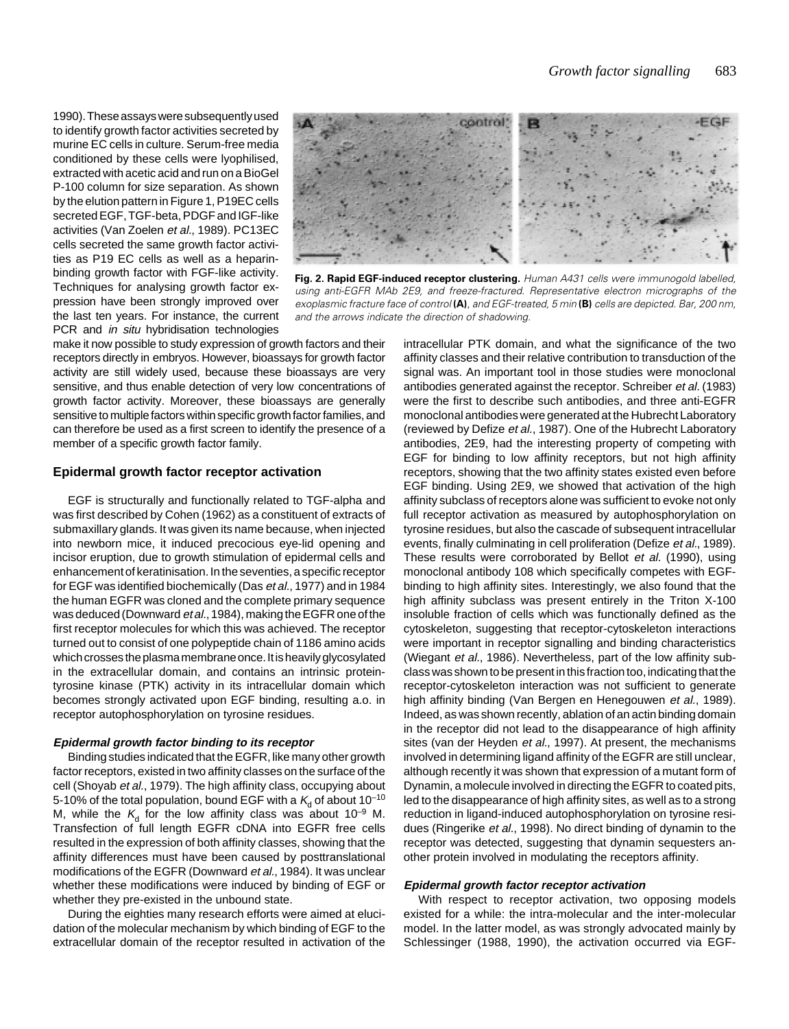1990). These assays were subsequently used to identify growth factor activities secreted by murine EC cells in culture. Serum-free media conditioned by these cells were lyophilised, extracted with acetic acid and run on a BioGel P-100 column for size separation. As shown by the elution pattern in Figure 1, P19EC cells secreted EGF, TGF-beta, PDGF and IGF-like activities (Van Zoelen et al., 1989). PC13EC cells secreted the same growth factor activities as P19 EC cells as well as a heparinbinding growth factor with FGF-like activity. Techniques for analysing growth factor expression have been strongly improved over the last ten years. For instance, the current PCR and *in situ* hybridisation technologies



**Fig. 2. Rapid EGF-induced receptor clustering.** Human A431 cells were immunogold labelled, using anti-EGFR MAb 2E9, and freeze-fractured. Representative electron micrographs of the exoplasmic fracture face of control **(A)**, and EGF-treated, 5 min **(B)** cells are depicted. Bar, 200 nm, and the arrows indicate the direction of shadowing.

make it now possible to study expression of growth factors and their receptors directly in embryos. However, bioassays for growth factor activity are still widely used, because these bioassays are very sensitive, and thus enable detection of very low concentrations of growth factor activity. Moreover, these bioassays are generally sensitive to multiple factors within specific growth factor families, and can therefore be used as a first screen to identify the presence of a member of a specific growth factor family.

#### **Epidermal growth factor receptor activation**

EGF is structurally and functionally related to TGF-alpha and was first described by Cohen (1962) as a constituent of extracts of submaxillary glands. It was given its name because, when injected into newborn mice, it induced precocious eye-lid opening and incisor eruption, due to growth stimulation of epidermal cells and enhancement of keratinisation. In the seventies, a specific receptor for EGF was identified biochemically (Das et al., 1977) and in 1984 the human EGFR was cloned and the complete primary sequence was deduced (Downward et al., 1984), making the EGFR one of the first receptor molecules for which this was achieved. The receptor turned out to consist of one polypeptide chain of 1186 amino acids which crosses the plasma membrane once. It is heavily glycosylated in the extracellular domain, and contains an intrinsic proteintyrosine kinase (PTK) activity in its intracellular domain which becomes strongly activated upon EGF binding, resulting a.o. in receptor autophosphorylation on tyrosine residues.

#### **Epidermal growth factor binding to its receptor**

Binding studies indicated that the EGFR, like many other growth factor receptors, existed in two affinity classes on the surface of the cell (Shoyab et al., 1979). The high affinity class, occupying about 5-10% of the total population, bound EGF with a  $K_d$  of about 10<sup>-10</sup> M, while the  $K_d$  for the low affinity class was about 10<sup>-9</sup> M. Transfection of full length EGFR cDNA into EGFR free cells resulted in the expression of both affinity classes, showing that the affinity differences must have been caused by posttranslational modifications of the EGFR (Downward et al., 1984). It was unclear whether these modifications were induced by binding of EGF or whether they pre-existed in the unbound state.

During the eighties many research efforts were aimed at elucidation of the molecular mechanism by which binding of EGF to the extracellular domain of the receptor resulted in activation of the intracellular PTK domain, and what the significance of the two affinity classes and their relative contribution to transduction of the signal was. An important tool in those studies were monoclonal antibodies generated against the receptor. Schreiber et al. (1983) were the first to describe such antibodies, and three anti-EGFR monoclonal antibodies were generated at the Hubrecht Laboratory (reviewed by Defize et al., 1987). One of the Hubrecht Laboratory antibodies, 2E9, had the interesting property of competing with EGF for binding to low affinity receptors, but not high affinity receptors, showing that the two affinity states existed even before EGF binding. Using 2E9, we showed that activation of the high affinity subclass of receptors alone was sufficient to evoke not only full receptor activation as measured by autophosphorylation on tyrosine residues, but also the cascade of subsequent intracellular events, finally culminating in cell proliferation (Defize et al., 1989). These results were corroborated by Bellot et al. (1990), using monoclonal antibody 108 which specifically competes with EGFbinding to high affinity sites. Interestingly, we also found that the high affinity subclass was present entirely in the Triton X-100 insoluble fraction of cells which was functionally defined as the cytoskeleton, suggesting that receptor-cytoskeleton interactions were important in receptor signalling and binding characteristics (Wiegant et al., 1986). Nevertheless, part of the low affinity subclass was shown to be present in this fraction too, indicating that the receptor-cytoskeleton interaction was not sufficient to generate high affinity binding (Van Bergen en Henegouwen et al., 1989). Indeed, as was shown recently, ablation of an actin binding domain in the receptor did not lead to the disappearance of high affinity sites (van der Heyden et al., 1997). At present, the mechanisms involved in determining ligand affinity of the EGFR are still unclear, although recently it was shown that expression of a mutant form of Dynamin, a molecule involved in directing the EGFR to coated pits, led to the disappearance of high affinity sites, as well as to a strong reduction in ligand-induced autophosphorylation on tyrosine residues (Ringerike et al., 1998). No direct binding of dynamin to the receptor was detected, suggesting that dynamin sequesters another protein involved in modulating the receptors affinity.

#### **Epidermal growth factor receptor activation**

With respect to receptor activation, two opposing models existed for a while: the intra-molecular and the inter-molecular model. In the latter model, as was strongly advocated mainly by Schlessinger (1988, 1990), the activation occurred via EGF-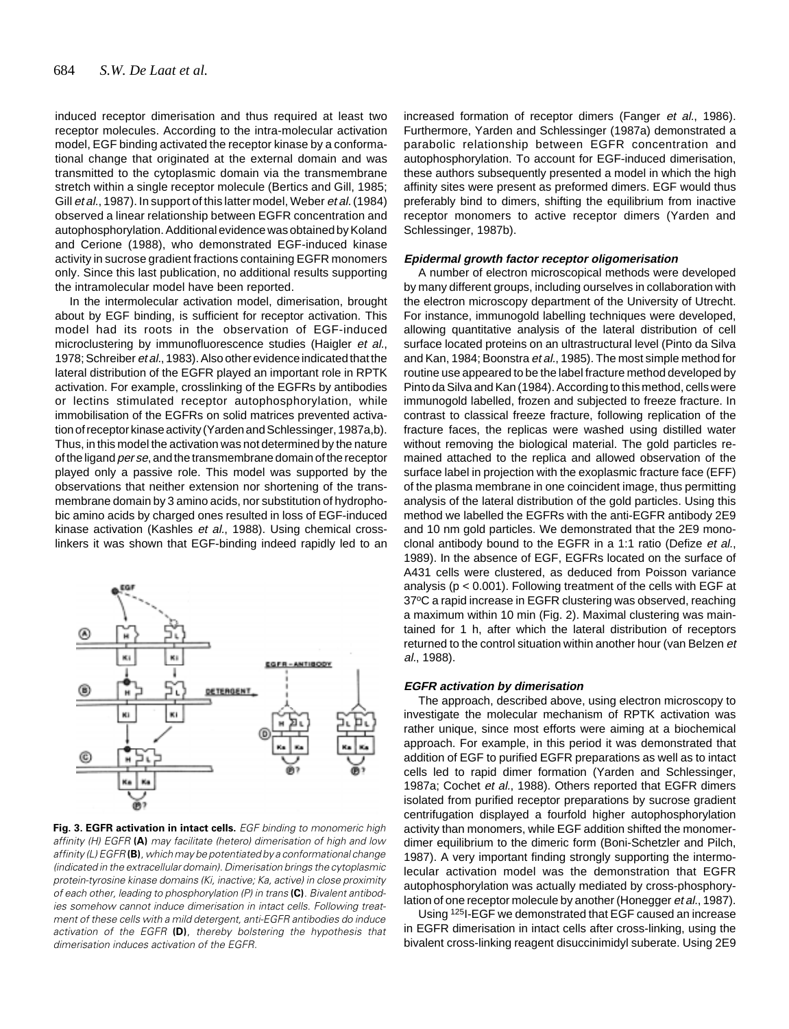induced receptor dimerisation and thus required at least two receptor molecules. According to the intra-molecular activation model, EGF binding activated the receptor kinase by a conformational change that originated at the external domain and was transmitted to the cytoplasmic domain via the transmembrane stretch within a single receptor molecule (Bertics and Gill, 1985; Gill et al., 1987). In support of this latter model, Weber et al. (1984) observed a linear relationship between EGFR concentration and autophosphorylation. Additional evidence was obtained by Koland and Cerione (1988), who demonstrated EGF-induced kinase activity in sucrose gradient fractions containing EGFR monomers only. Since this last publication, no additional results supporting the intramolecular model have been reported.

In the intermolecular activation model, dimerisation, brought about by EGF binding, is sufficient for receptor activation. This model had its roots in the observation of EGF-induced microclustering by immunofluorescence studies (Haigler et al., 1978; Schreiber et al., 1983). Also other evidence indicated that the lateral distribution of the EGFR played an important role in RPTK activation. For example, crosslinking of the EGFRs by antibodies or lectins stimulated receptor autophosphorylation, while immobilisation of the EGFRs on solid matrices prevented activation of receptor kinase activity (Yarden and Schlessinger, 1987a,b). Thus, in this model the activation was not determined by the nature of the ligand *per se*, and the transmembrane domain of the receptor played only a passive role. This model was supported by the observations that neither extension nor shortening of the transmembrane domain by 3 amino acids, nor substitution of hydrophobic amino acids by charged ones resulted in loss of EGF-induced kinase activation (Kashles et al., 1988). Using chemical crosslinkers it was shown that EGF-binding indeed rapidly led to an



**Fig. 3. EGFR activation in intact cells.** EGF binding to monomeric high affinity (H) EGFR **(A)** may facilitate (hetero) dimerisation of high and low affinity (L) EGFR**(B)**, which may be potentiated by a conformational change (indicated in the extracellular domain). Dimerisation brings the cytoplasmic protein-tyrosine kinase domains (Ki, inactive; Ka, active) in close proximity of each other, leading to phosphorylation (P) in trans **(C)**. Bivalent antibodies somehow cannot induce dimerisation in intact cells. Following treatment of these cells with a mild detergent, anti-EGFR antibodies do induce activation of the EGFR **(D)**, thereby bolstering the hypothesis that dimerisation induces activation of the EGFR.

increased formation of receptor dimers (Fanger et al., 1986). Furthermore, Yarden and Schlessinger (1987a) demonstrated a parabolic relationship between EGFR concentration and autophosphorylation. To account for EGF-induced dimerisation, these authors subsequently presented a model in which the high affinity sites were present as preformed dimers. EGF would thus preferably bind to dimers, shifting the equilibrium from inactive receptor monomers to active receptor dimers (Yarden and Schlessinger, 1987b).

# **Epidermal growth factor receptor oligomerisation**

A number of electron microscopical methods were developed by many different groups, including ourselves in collaboration with the electron microscopy department of the University of Utrecht. For instance, immunogold labelling techniques were developed, allowing quantitative analysis of the lateral distribution of cell surface located proteins on an ultrastructural level (Pinto da Silva and Kan, 1984; Boonstra et al., 1985). The most simple method for routine use appeared to be the label fracture method developed by Pinto da Silva and Kan (1984). According to this method, cells were immunogold labelled, frozen and subjected to freeze fracture. In contrast to classical freeze fracture, following replication of the fracture faces, the replicas were washed using distilled water without removing the biological material. The gold particles remained attached to the replica and allowed observation of the surface label in projection with the exoplasmic fracture face (EFF) of the plasma membrane in one coincident image, thus permitting analysis of the lateral distribution of the gold particles. Using this method we labelled the EGFRs with the anti-EGFR antibody 2E9 and 10 nm gold particles. We demonstrated that the 2E9 monoclonal antibody bound to the EGFR in a 1:1 ratio (Defize et al., 1989). In the absence of EGF, EGFRs located on the surface of A431 cells were clustered, as deduced from Poisson variance analysis ( $p < 0.001$ ). Following treatment of the cells with EGF at 37°C a rapid increase in EGFR clustering was observed, reaching a maximum within 10 min (Fig. 2). Maximal clustering was maintained for 1 h, after which the lateral distribution of receptors returned to the control situation within another hour (van Belzen et al., 1988).

#### **EGFR activation by dimerisation**

The approach, described above, using electron microscopy to investigate the molecular mechanism of RPTK activation was rather unique, since most efforts were aiming at a biochemical approach. For example, in this period it was demonstrated that addition of EGF to purified EGFR preparations as well as to intact cells led to rapid dimer formation (Yarden and Schlessinger, 1987a; Cochet et al., 1988). Others reported that EGFR dimers isolated from purified receptor preparations by sucrose gradient centrifugation displayed a fourfold higher autophosphorylation activity than monomers, while EGF addition shifted the monomerdimer equilibrium to the dimeric form (Boni-Schetzler and Pilch, 1987). A very important finding strongly supporting the intermolecular activation model was the demonstration that EGFR autophosphorylation was actually mediated by cross-phosphorylation of one receptor molecule by another (Honegger et al., 1987).

Using 125I-EGF we demonstrated that EGF caused an increase in EGFR dimerisation in intact cells after cross-linking, using the bivalent cross-linking reagent disuccinimidyl suberate. Using 2E9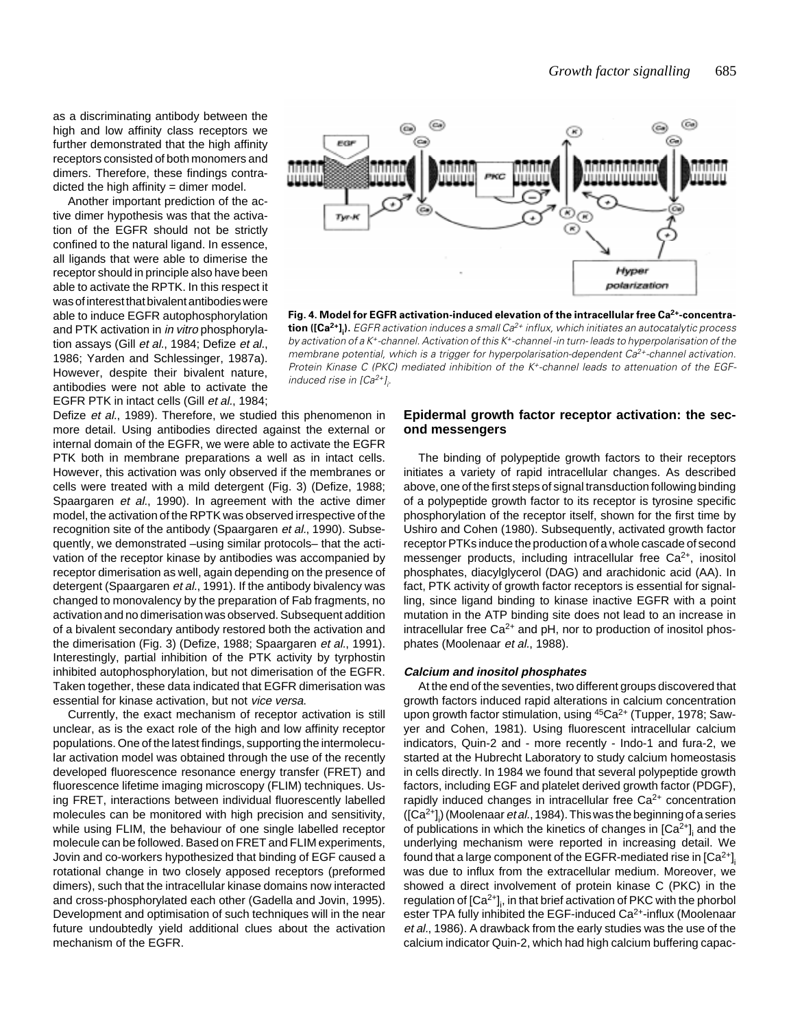as a discriminating antibody between the high and low affinity class receptors we further demonstrated that the high affinity receptors consisted of both monomers and dimers. Therefore, these findings contradicted the high affinity  $=$  dimer model.

Another important prediction of the active dimer hypothesis was that the activation of the EGFR should not be strictly confined to the natural ligand. In essence, all ligands that were able to dimerise the receptor should in principle also have been able to activate the RPTK. In this respect it was of interest that bivalent antibodies were able to induce EGFR autophosphorylation and PTK activation in in vitro phosphorylation assays (Gill et al., 1984; Defize et al., 1986; Yarden and Schlessinger, 1987a). However, despite their bivalent nature, antibodies were not able to activate the EGFR PTK in intact cells (Gill et al., 1984;

Defize et al., 1989). Therefore, we studied this phenomenon in more detail. Using antibodies directed against the external or internal domain of the EGFR, we were able to activate the EGFR PTK both in membrane preparations a well as in intact cells. However, this activation was only observed if the membranes or cells were treated with a mild detergent (Fig. 3) (Defize, 1988; Spaargaren et al., 1990). In agreement with the active dimer model, the activation of the RPTK was observed irrespective of the recognition site of the antibody (Spaargaren et al., 1990). Subsequently, we demonstrated –using similar protocols– that the activation of the receptor kinase by antibodies was accompanied by receptor dimerisation as well, again depending on the presence of detergent (Spaargaren et al., 1991). If the antibody bivalency was changed to monovalency by the preparation of Fab fragments, no activation and no dimerisation was observed. Subsequent addition of a bivalent secondary antibody restored both the activation and the dimerisation (Fig. 3) (Defize, 1988; Spaargaren et al., 1991). Interestingly, partial inhibition of the PTK activity by tyrphostin inhibited autophosphorylation, but not dimerisation of the EGFR. Taken together, these data indicated that EGFR dimerisation was essential for kinase activation, but not vice versa.

Currently, the exact mechanism of receptor activation is still unclear, as is the exact role of the high and low affinity receptor populations. One of the latest findings, supporting the intermolecular activation model was obtained through the use of the recently developed fluorescence resonance energy transfer (FRET) and fluorescence lifetime imaging microscopy (FLIM) techniques. Using FRET, interactions between individual fluorescently labelled molecules can be monitored with high precision and sensitivity, while using FLIM, the behaviour of one single labelled receptor molecule can be followed. Based on FRET and FLIM experiments, Jovin and co-workers hypothesized that binding of EGF caused a rotational change in two closely apposed receptors (preformed dimers), such that the intracellular kinase domains now interacted and cross-phosphorylated each other (Gadella and Jovin, 1995). Development and optimisation of such techniques will in the near future undoubtedly yield additional clues about the activation mechanism of the EGFR.



Fig. 4. Model for EGFR activation-induced elevation of the intracellular free Ca<sup>2+</sup>-concentra**tion ([Ca<sup>2+</sup>]<sub>i</sub>).** EGFR activation induces a small Ca<sup>2+</sup> influx, which initiates an autocatalytic process by activation of a K+-channel. Activation of this K+-channel -in turn- leads to hyperpolarisation of the membrane potential, which is a trigger for hyperpolarisation-dependent  $Ca^{2+}$ -channel activation. Protein Kinase C (PKC) mediated inhibition of the K<sup>+</sup>-channel leads to attenuation of the EGFinduced rise in [Ca<sup>2+</sup>]<sub>i</sub>.

## **Epidermal growth factor receptor activation: the second messengers**

The binding of polypeptide growth factors to their receptors initiates a variety of rapid intracellular changes. As described above, one of the first steps of signal transduction following binding of a polypeptide growth factor to its receptor is tyrosine specific phosphorylation of the receptor itself, shown for the first time by Ushiro and Cohen (1980). Subsequently, activated growth factor receptor PTKs induce the production of a whole cascade of second messenger products, including intracellular free Ca<sup>2+</sup>, inositol phosphates, diacylglycerol (DAG) and arachidonic acid (AA). In fact, PTK activity of growth factor receptors is essential for signalling, since ligand binding to kinase inactive EGFR with a point mutation in the ATP binding site does not lead to an increase in intracellular free  $Ca^{2+}$  and pH, nor to production of inositol phosphates (Moolenaar et al., 1988).

#### **Calcium and inositol phosphates**

At the end of the seventies, two different groups discovered that growth factors induced rapid alterations in calcium concentration upon growth factor stimulation, using <sup>45</sup>Ca<sup>2+</sup> (Tupper, 1978; Sawyer and Cohen, 1981). Using fluorescent intracellular calcium indicators, Quin-2 and - more recently - Indo-1 and fura-2, we started at the Hubrecht Laboratory to study calcium homeostasis in cells directly. In 1984 we found that several polypeptide growth factors, including EGF and platelet derived growth factor (PDGF), rapidly induced changes in intracellular free Ca<sup>2+</sup> concentration ([Ca<sup>2+</sup>]<sub>i</sub>) (Moolenaar *et al.*, 1984). This was the beginning of a series of publications in which the kinetics of changes in [Ca $^{2+}$ ]<sub>i</sub> and the underlying mechanism were reported in increasing detail. We found that a large component of the EGFR-mediated rise in [Ca $^{2+}{\rm J}_{\!i}$ was due to influx from the extracellular medium. Moreover, we showed a direct involvement of protein kinase C (PKC) in the regulation of [Ca $^{2+}$ ]<sub>i</sub>, in that brief activation of PKC with the phorbol ester TPA fully inhibited the EGF-induced Ca<sup>2+</sup>-influx (Moolenaar et al., 1986). A drawback from the early studies was the use of the calcium indicator Quin-2, which had high calcium buffering capac-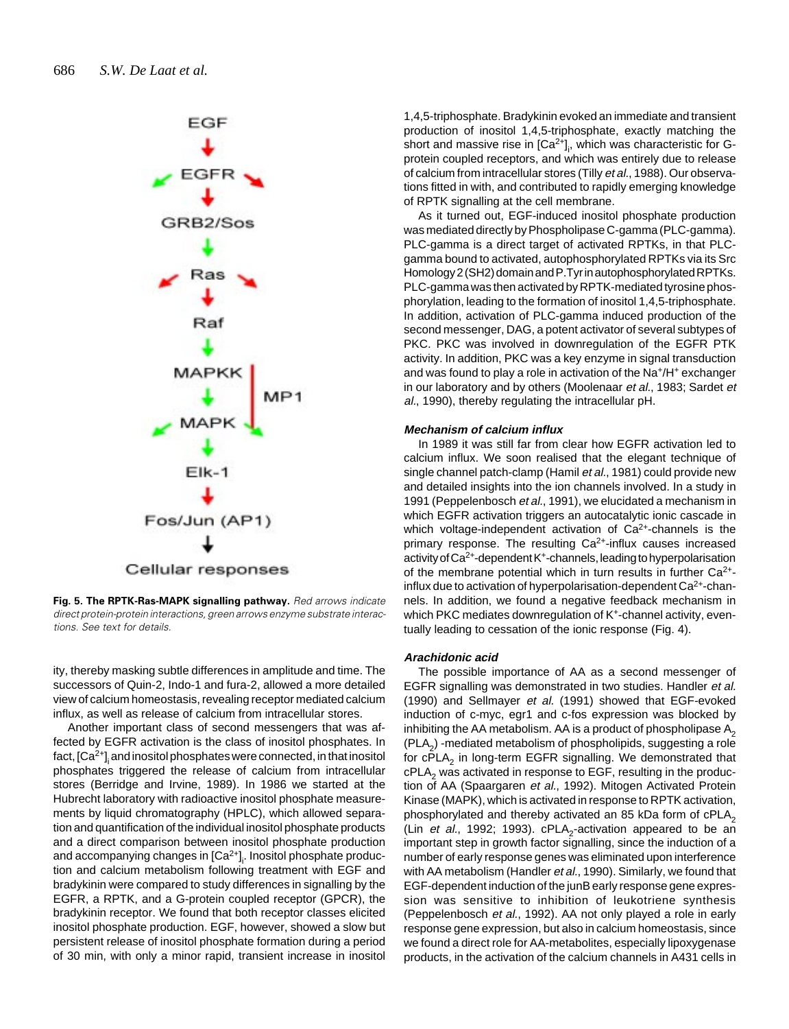

**Fig. 5. The RPTK-Ras-MAPK signalling pathway.** Red arrows indicate direct protein-protein interactions, green arrows enzyme substrate interactions. See text for details.

ity, thereby masking subtle differences in amplitude and time. The successors of Quin-2, Indo-1 and fura-2, allowed a more detailed view of calcium homeostasis, revealing receptor mediated calcium influx, as well as release of calcium from intracellular stores.

Another important class of second messengers that was affected by EGFR activation is the class of inositol phosphates. In fact, [Ca $^{2+}$ ] $_{\rm i}$  and inositol phosphates were connected, in that inositol phosphates triggered the release of calcium from intracellular stores (Berridge and Irvine, 1989). In 1986 we started at the Hubrecht laboratory with radioactive inositol phosphate measurements by liquid chromatography (HPLC), which allowed separation and quantification of the individual inositol phosphate products and a direct comparison between inositol phosphate production and accompanying changes in [Ca<sup>2+</sup>]<sub>i</sub>. Inositol phosphate production and calcium metabolism following treatment with EGF and bradykinin were compared to study differences in signalling by the EGFR, a RPTK, and a G-protein coupled receptor (GPCR), the bradykinin receptor. We found that both receptor classes elicited inositol phosphate production. EGF, however, showed a slow but persistent release of inositol phosphate formation during a period of 30 min, with only a minor rapid, transient increase in inositol

1,4,5-triphosphate. Bradykinin evoked an immediate and transient production of inositol 1,4,5-triphosphate, exactly matching the short and massive rise in [Ca<sup>2+</sup>]<sub>i</sub>, which was characteristic for Gprotein coupled receptors, and which was entirely due to release of calcium from intracellular stores (Tilly et al., 1988). Our observations fitted in with, and contributed to rapidly emerging knowledge of RPTK signalling at the cell membrane.

As it turned out, EGF-induced inositol phosphate production was mediated directly by Phospholipase C-gamma (PLC-gamma). PLC-gamma is a direct target of activated RPTKs, in that PLCgamma bound to activated, autophosphorylated RPTKs via its Src Homology 2 (SH2) domain and P.Tyr in autophosphorylated RPTKs. PLC-gamma was then activated by RPTK-mediated tyrosine phosphorylation, leading to the formation of inositol 1,4,5-triphosphate. In addition, activation of PLC-gamma induced production of the second messenger, DAG, a potent activator of several subtypes of PKC. PKC was involved in downregulation of the EGFR PTK activity. In addition, PKC was a key enzyme in signal transduction and was found to play a role in activation of the Na<sup>+</sup>/H<sup>+</sup> exchanger in our laboratory and by others (Moolenaar et al., 1983; Sardet et al., 1990), thereby regulating the intracellular pH.

#### **Mechanism of calcium influx**

In 1989 it was still far from clear how EGFR activation led to calcium influx. We soon realised that the elegant technique of single channel patch-clamp (Hamil et al., 1981) could provide new and detailed insights into the ion channels involved. In a study in 1991 (Peppelenbosch et al., 1991), we elucidated a mechanism in which EGFR activation triggers an autocatalytic ionic cascade in which voltage-independent activation of  $Ca<sup>2+</sup>$ -channels is the primary response. The resulting  $Ca<sup>2+</sup>$ -influx causes increased activity of  $Ca^{2+}$ -dependent K<sup>+</sup>-channels, leading to hyperpolarisation of the membrane potential which in turn results in further  $Ca<sup>2+</sup>$ influx due to activation of hyperpolarisation-dependent  $Ca<sup>2+</sup>$ -channels. In addition, we found a negative feedback mechanism in which PKC mediates downregulation of K<sup>+</sup>-channel activity, eventually leading to cessation of the ionic response (Fig. 4).

#### **Arachidonic acid**

The possible importance of AA as a second messenger of EGFR signalling was demonstrated in two studies. Handler et al. (1990) and Sellmayer et al. (1991) showed that EGF-evoked induction of c-myc, egr1 and c-fos expression was blocked by inhibiting the AA metabolism. AA is a product of phospholipase  $A_2$  $(PLA<sub>2</sub>)$  -mediated metabolism of phospholipids, suggesting a role for cPLA<sub>2</sub> in long-term EGFR signalling. We demonstrated that  $cPLA<sub>2</sub>$  was activated in response to EGF, resulting in the production of AA (Spaargaren et al., 1992). Mitogen Activated Protein Kinase (MAPK), which is activated in response to RPTK activation, phosphorylated and thereby activated an 85 kDa form of  $cPLA<sub>2</sub>$ (Lin et al., 1992; 1993).  $cPLA<sub>2</sub>$ -activation appeared to be an important step in growth factor signalling, since the induction of a number of early response genes was eliminated upon interference with AA metabolism (Handler et al., 1990). Similarly, we found that EGF-dependent induction of the junB early response gene expression was sensitive to inhibition of leukotriene synthesis (Peppelenbosch et al., 1992). AA not only played a role in early response gene expression, but also in calcium homeostasis, since we found a direct role for AA-metabolites, especially lipoxygenase products, in the activation of the calcium channels in A431 cells in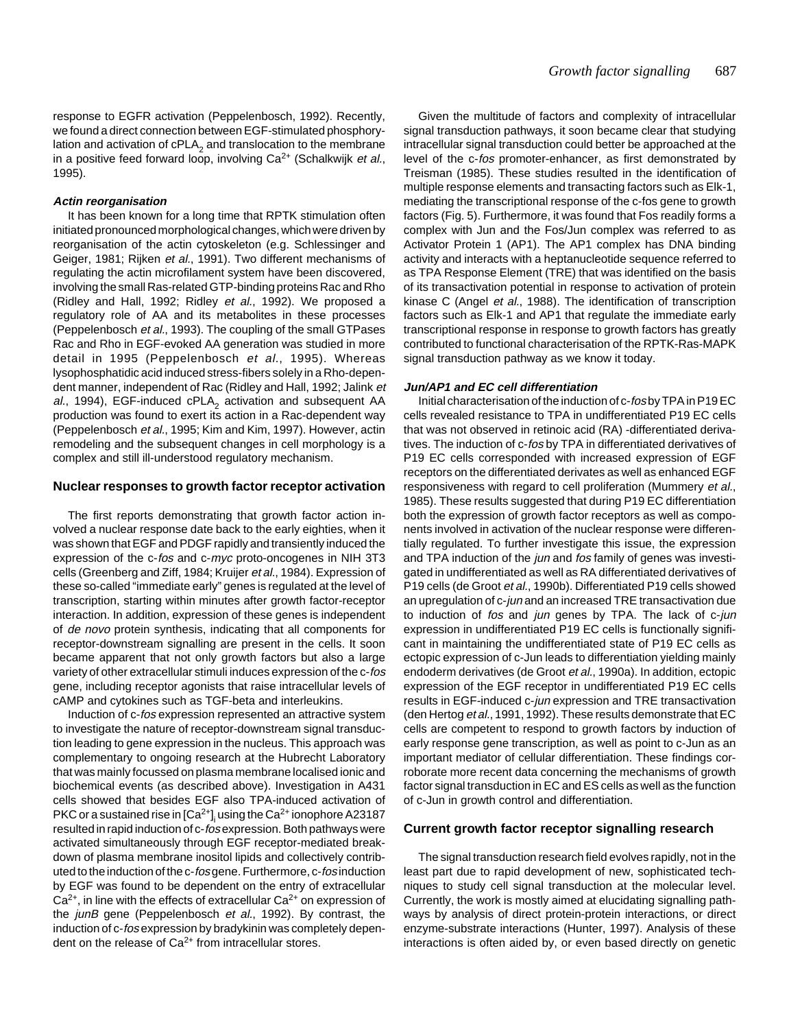response to EGFR activation (Peppelenbosch, 1992). Recently, we found a direct connection between EGF-stimulated phosphorylation and activation of  $cPLA<sub>2</sub>$  and translocation to the membrane in a positive feed forward loop, involving  $Ca^{2+}$  (Schalkwijk et al., 1995).

#### **Actin reorganisation**

It has been known for a long time that RPTK stimulation often initiated pronounced morphological changes, which were driven by reorganisation of the actin cytoskeleton (e.g. Schlessinger and Geiger, 1981; Rijken et al., 1991). Two different mechanisms of regulating the actin microfilament system have been discovered, involving the small Ras-related GTP-binding proteins Rac and Rho (Ridley and Hall, 1992; Ridley et al., 1992). We proposed a regulatory role of AA and its metabolites in these processes (Peppelenbosch et al., 1993). The coupling of the small GTPases Rac and Rho in EGF-evoked AA generation was studied in more detail in 1995 (Peppelenbosch et al., 1995). Whereas lysophosphatidic acid induced stress-fibers solely in a Rho-dependent manner, independent of Rac (Ridley and Hall, 1992; Jalink et al., 1994), EGF-induced cPLA<sub>2</sub> activation and subsequent AA production was found to exert its action in a Rac-dependent way (Peppelenbosch et al., 1995; Kim and Kim, 1997). However, actin remodeling and the subsequent changes in cell morphology is a complex and still ill-understood regulatory mechanism.

#### **Nuclear responses to growth factor receptor activation**

The first reports demonstrating that growth factor action involved a nuclear response date back to the early eighties, when it was shown that EGF and PDGF rapidly and transiently induced the expression of the c-fos and c-myc proto-oncogenes in NIH 3T3 cells (Greenberg and Ziff, 1984; Kruijer et al., 1984). Expression of these so-called "immediate early" genes is regulated at the level of transcription, starting within minutes after growth factor-receptor interaction. In addition, expression of these genes is independent of de novo protein synthesis, indicating that all components for receptor-downstream signalling are present in the cells. It soon became apparent that not only growth factors but also a large variety of other extracellular stimuli induces expression of the c-fos gene, including receptor agonists that raise intracellular levels of cAMP and cytokines such as TGF-beta and interleukins.

Induction of c-fos expression represented an attractive system to investigate the nature of receptor-downstream signal transduction leading to gene expression in the nucleus. This approach was complementary to ongoing research at the Hubrecht Laboratory that was mainly focussed on plasma membrane localised ionic and biochemical events (as described above). Investigation in A431 cells showed that besides EGF also TPA-induced activation of PKC or a sustained rise in [Ca $^{2+}$ ]<sub>i</sub> using the Ca $^{2+}$ ionophore A23187 resulted in rapid induction of c-fos expression. Both pathways were activated simultaneously through EGF receptor-mediated breakdown of plasma membrane inositol lipids and collectively contributed to the induction of the c-fos gene. Furthermore, c-fos induction by EGF was found to be dependent on the entry of extracellular  $Ca<sup>2+</sup>$ , in line with the effects of extracellular  $Ca<sup>2+</sup>$  on expression of the *junB* gene (Peppelenbosch et al., 1992). By contrast, the induction of c-fos expression by bradykinin was completely dependent on the release of  $Ca^{2+}$  from intracellular stores.

Given the multitude of factors and complexity of intracellular signal transduction pathways, it soon became clear that studying intracellular signal transduction could better be approached at the level of the c-fos promoter-enhancer, as first demonstrated by Treisman (1985). These studies resulted in the identification of multiple response elements and transacting factors such as Elk-1, mediating the transcriptional response of the c-fos gene to growth factors (Fig. 5). Furthermore, it was found that Fos readily forms a complex with Jun and the Fos/Jun complex was referred to as Activator Protein 1 (AP1). The AP1 complex has DNA binding activity and interacts with a heptanucleotide sequence referred to as TPA Response Element (TRE) that was identified on the basis of its transactivation potential in response to activation of protein kinase C (Angel et al., 1988). The identification of transcription factors such as Elk-1 and AP1 that regulate the immediate early transcriptional response in response to growth factors has greatly contributed to functional characterisation of the RPTK-Ras-MAPK signal transduction pathway as we know it today.

#### **Jun/AP1 and EC cell differentiation**

Initial characterisation of the induction of c-fos by TPA in P19 EC cells revealed resistance to TPA in undifferentiated P19 EC cells that was not observed in retinoic acid (RA) -differentiated derivatives. The induction of c-fos by TPA in differentiated derivatives of P19 EC cells corresponded with increased expression of EGF receptors on the differentiated derivates as well as enhanced EGF responsiveness with regard to cell proliferation (Mummery et al., 1985). These results suggested that during P19 EC differentiation both the expression of growth factor receptors as well as components involved in activation of the nuclear response were differentially regulated. To further investigate this issue, the expression and TPA induction of the *jun* and *fos* family of genes was investigated in undifferentiated as well as RA differentiated derivatives of P19 cells (de Groot et al., 1990b). Differentiated P19 cells showed an upregulation of c-jun and an increased TRE transactivation due to induction of fos and jun genes by TPA. The lack of c-jun expression in undifferentiated P19 EC cells is functionally significant in maintaining the undifferentiated state of P19 EC cells as ectopic expression of c-Jun leads to differentiation yielding mainly endoderm derivatives (de Groot et al., 1990a). In addition, ectopic expression of the EGF receptor in undifferentiated P19 EC cells results in EGF-induced c-jun expression and TRE transactivation (den Hertog et al., 1991, 1992). These results demonstrate that EC cells are competent to respond to growth factors by induction of early response gene transcription, as well as point to c-Jun as an important mediator of cellular differentiation. These findings corroborate more recent data concerning the mechanisms of growth factor signal transduction in EC and ES cells as well as the function of c-Jun in growth control and differentiation.

#### **Current growth factor receptor signalling research**

The signal transduction research field evolves rapidly, not in the least part due to rapid development of new, sophisticated techniques to study cell signal transduction at the molecular level. Currently, the work is mostly aimed at elucidating signalling pathways by analysis of direct protein-protein interactions, or direct enzyme-substrate interactions (Hunter, 1997). Analysis of these interactions is often aided by, or even based directly on genetic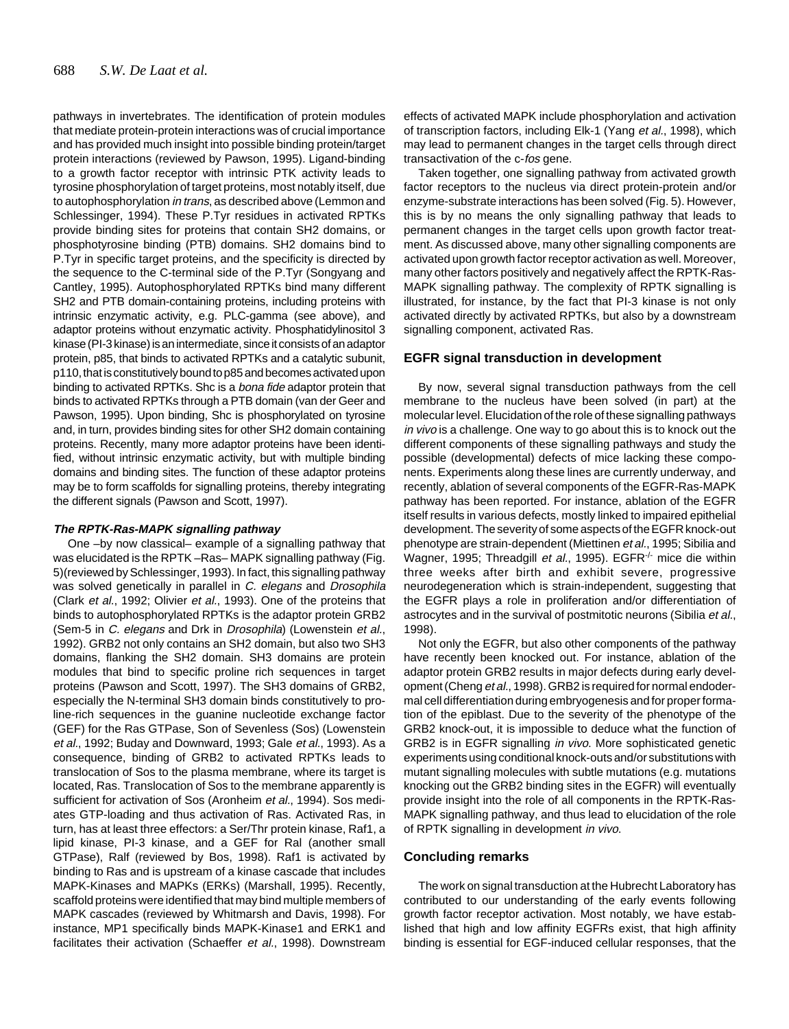pathways in invertebrates. The identification of protein modules that mediate protein-protein interactions was of crucial importance and has provided much insight into possible binding protein/target protein interactions (reviewed by Pawson, 1995). Ligand-binding to a growth factor receptor with intrinsic PTK activity leads to tyrosine phosphorylation of target proteins, most notably itself, due to autophosphorylation in trans, as described above (Lemmon and Schlessinger, 1994). These P.Tyr residues in activated RPTKs provide binding sites for proteins that contain SH2 domains, or phosphotyrosine binding (PTB) domains. SH2 domains bind to P.Tyr in specific target proteins, and the specificity is directed by the sequence to the C-terminal side of the P.Tyr (Songyang and Cantley, 1995). Autophosphorylated RPTKs bind many different SH2 and PTB domain-containing proteins, including proteins with intrinsic enzymatic activity, e.g. PLC-gamma (see above), and adaptor proteins without enzymatic activity. Phosphatidylinositol 3 kinase (PI-3 kinase) is an intermediate, since it consists of an adaptor protein, p85, that binds to activated RPTKs and a catalytic subunit, p110, that is constitutively bound to p85 and becomes activated upon binding to activated RPTKs. Shc is a bona fide adaptor protein that binds to activated RPTKs through a PTB domain (van der Geer and Pawson, 1995). Upon binding, Shc is phosphorylated on tyrosine and, in turn, provides binding sites for other SH2 domain containing proteins. Recently, many more adaptor proteins have been identified, without intrinsic enzymatic activity, but with multiple binding domains and binding sites. The function of these adaptor proteins may be to form scaffolds for signalling proteins, thereby integrating the different signals (Pawson and Scott, 1997).

#### **The RPTK-Ras-MAPK signalling pathway**

One –by now classical– example of a signalling pathway that was elucidated is the RPTK –Ras– MAPK signalling pathway (Fig. 5)(reviewed by Schlessinger, 1993). In fact, this signalling pathway was solved genetically in parallel in C. elegans and Drosophila (Clark et al., 1992; Olivier et al., 1993). One of the proteins that binds to autophosphorylated RPTKs is the adaptor protein GRB2 (Sem-5 in C. elegans and Drk in Drosophila) (Lowenstein et al., 1992). GRB2 not only contains an SH2 domain, but also two SH3 domains, flanking the SH2 domain. SH3 domains are protein modules that bind to specific proline rich sequences in target proteins (Pawson and Scott, 1997). The SH3 domains of GRB2, especially the N-terminal SH3 domain binds constitutively to proline-rich sequences in the guanine nucleotide exchange factor (GEF) for the Ras GTPase, Son of Sevenless (Sos) (Lowenstein et al., 1992; Buday and Downward, 1993; Gale et al., 1993). As a consequence, binding of GRB2 to activated RPTKs leads to translocation of Sos to the plasma membrane, where its target is located, Ras. Translocation of Sos to the membrane apparently is sufficient for activation of Sos (Aronheim et al., 1994). Sos mediates GTP-loading and thus activation of Ras. Activated Ras, in turn, has at least three effectors: a Ser/Thr protein kinase, Raf1, a lipid kinase, PI-3 kinase, and a GEF for Ral (another small GTPase), Ralf (reviewed by Bos, 1998). Raf1 is activated by binding to Ras and is upstream of a kinase cascade that includes MAPK-Kinases and MAPKs (ERKs) (Marshall, 1995). Recently, scaffold proteins were identified that may bind multiple members of MAPK cascades (reviewed by Whitmarsh and Davis, 1998). For instance, MP1 specifically binds MAPK-Kinase1 and ERK1 and facilitates their activation (Schaeffer et al., 1998). Downstream

effects of activated MAPK include phosphorylation and activation of transcription factors, including Elk-1 (Yang et al., 1998), which may lead to permanent changes in the target cells through direct transactivation of the c-fos gene.

Taken together, one signalling pathway from activated growth factor receptors to the nucleus via direct protein-protein and/or enzyme-substrate interactions has been solved (Fig. 5). However, this is by no means the only signalling pathway that leads to permanent changes in the target cells upon growth factor treatment. As discussed above, many other signalling components are activated upon growth factor receptor activation as well. Moreover, many other factors positively and negatively affect the RPTK-Ras-MAPK signalling pathway. The complexity of RPTK signalling is illustrated, for instance, by the fact that PI-3 kinase is not only activated directly by activated RPTKs, but also by a downstream signalling component, activated Ras.

## **EGFR signal transduction in development**

By now, several signal transduction pathways from the cell membrane to the nucleus have been solved (in part) at the molecular level. Elucidation of the role of these signalling pathways in vivo is a challenge. One way to go about this is to knock out the different components of these signalling pathways and study the possible (developmental) defects of mice lacking these components. Experiments along these lines are currently underway, and recently, ablation of several components of the EGFR-Ras-MAPK pathway has been reported. For instance, ablation of the EGFR itself results in various defects, mostly linked to impaired epithelial development. The severity of some aspects of the EGFR knock-out phenotype are strain-dependent (Miettinen et al., 1995; Sibilia and Wagner, 1995; Threadgill et al., 1995). EGFR<sup>-/-</sup> mice die within three weeks after birth and exhibit severe, progressive neurodegeneration which is strain-independent, suggesting that the EGFR plays a role in proliferation and/or differentiation of astrocytes and in the survival of postmitotic neurons (Sibilia et al., 1998).

Not only the EGFR, but also other components of the pathway have recently been knocked out. For instance, ablation of the adaptor protein GRB2 results in major defects during early development (Cheng et al., 1998). GRB2 is required for normal endodermal cell differentiation during embryogenesis and for proper formation of the epiblast. Due to the severity of the phenotype of the GRB2 knock-out, it is impossible to deduce what the function of GRB2 is in EGFR signalling in vivo. More sophisticated genetic experiments using conditional knock-outs and/or substitutions with mutant signalling molecules with subtle mutations (e.g. mutations knocking out the GRB2 binding sites in the EGFR) will eventually provide insight into the role of all components in the RPTK-Ras-MAPK signalling pathway, and thus lead to elucidation of the role of RPTK signalling in development in vivo.

## **Concluding remarks**

The work on signal transduction at the Hubrecht Laboratory has contributed to our understanding of the early events following growth factor receptor activation. Most notably, we have established that high and low affinity EGFRs exist, that high affinity binding is essential for EGF-induced cellular responses, that the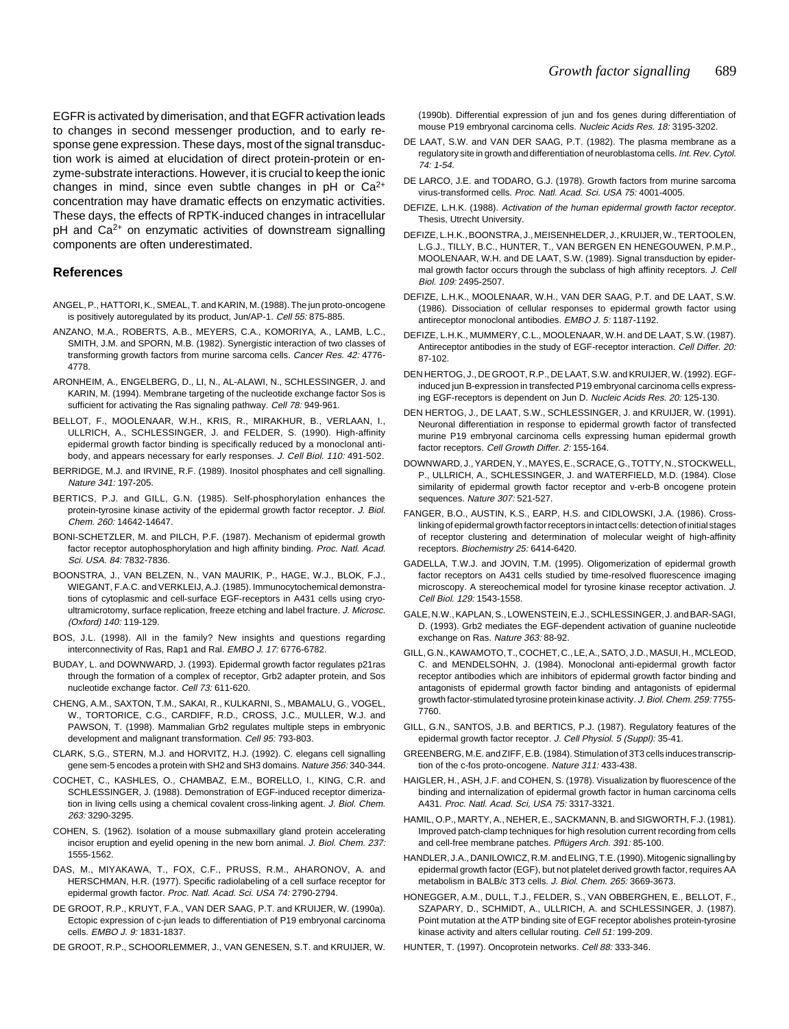EGFR is activated by dimerisation, and that EGFR activation leads to changes in second messenger production, and to early response gene expression. These days, most of the signal transduction work is aimed at elucidation of direct protein-protein or enzyme-substrate interactions. However, it is crucial to keep the ionic changes in mind, since even subtle changes in  $pH$  or  $Ca^{2+}$ concentration may have dramatic effects on enzymatic activities. These days, the effects of RPTK-induced changes in intracellular  $pH$  and  $Ca<sup>2+</sup>$  on enzymatic activities of downstream signalling components are often underestimated.

## **References**

- ANGEL, P., HATTORI, K., SMEAL, T. and KARIN, M. (1988). The jun proto-oncogene is positively autoregulated by its product, Jun/AP-1. Cell 55: 875-885.
- ANZANO, M.A., ROBERTS, A.B., MEYERS, C.A., KOMORIYA, A., LAMB, L.C., SMITH, J.M. and SPORN, M.B. (1982). Synergistic interaction of two classes of transforming growth factors from murine sarcoma cells. Cancer Res. 42: 4776- 4778.
- ARONHEIM, A., ENGELBERG, D., LI, N., AL-ALAWI, N., SCHLESSINGER, J. and KARIN, M. (1994). Membrane targeting of the nucleotide exchange factor Sos is sufficient for activating the Ras signaling pathway. Cell 78: 949-961.
- BELLOT, F., MOOLENAAR, W.H., KRIS, R., MIRAKHUR, B., VERLAAN, I., ULLRICH, A., SCHLESSINGER, J. and FELDER, S. (1990). High-affinity epidermal growth factor binding is specifically reduced by a monoclonal antibody, and appears necessary for early responses. J. Cell Biol. 110: 491-502.
- BERRIDGE, M.J. and IRVINE, R.F. (1989). Inositol phosphates and cell signalling. Nature 341: 197-205.
- BERTICS, P.J. and GILL, G.N. (1985). Self-phosphorylation enhances the protein-tyrosine kinase activity of the epidermal growth factor receptor. J. Biol. Chem. 260: 14642-14647.
- BONI-SCHETZLER, M. and PILCH, P.F. (1987). Mechanism of epidermal growth factor receptor autophosphorylation and high affinity binding. Proc. Natl. Acad. Sci. USA. 84: 7832-7836.
- BOONSTRA, J., VAN BELZEN, N., VAN MAURIK, P., HAGE, W.J., BLOK, F.J., WIEGANT, F.A.C. and VERKLEIJ, A.J. (1985). Immunocytochemical demonstrations of cytoplasmic and cell-surface EGF-receptors in A431 cells using cryoultramicrotomy, surface replication, freeze etching and label fracture. J. Microsc. (Oxford) 140: 119-129.
- BOS, J.L. (1998). All in the family? New insights and questions regarding interconnectivity of Ras, Rap1 and Ral. EMBO J. 17: 6776-6782.
- BUDAY, L. and DOWNWARD, J. (1993). Epidermal growth factor regulates p21ras through the formation of a complex of receptor, Grb2 adapter protein, and Sos nucleotide exchange factor. Cell 73: 611-620.
- CHENG, A.M., SAXTON, T.M., SAKAI, R., KULKARNI, S., MBAMALU, G., VOGEL, W., TORTORICE, C.G., CARDIFF, R.D., CROSS, J.C., MULLER, W.J. and PAWSON, T. (1998). Mammalian Grb2 regulates multiple steps in embryonic development and malignant transformation. Cell 95: 793-803.
- CLARK, S.G., STERN, M.J. and HORVITZ, H.J. (1992). C. elegans cell signalling gene sem-5 encodes a protein with SH2 and SH3 domains. Nature 356: 340-344.
- COCHET, C., KASHLES, O., CHAMBAZ, E.M., BORELLO, I., KING, C.R. and SCHLESSINGER, J. (1988). Demonstration of EGF-induced receptor dimerization in living cells using a chemical covalent cross-linking agent. J. Biol. Chem. 263: 3290-3295.
- COHEN, S. (1962). Isolation of a mouse submaxillary gland protein accelerating incisor eruption and eyelid opening in the new born animal. J. Biol. Chem. 237: 1555-1562.
- DAS, M., MIYAKAWA, T., FOX, C.F., PRUSS, R.M., AHARONOV, A. and HERSCHMAN, H.R. (1977). Specific radiolabeling of a cell surface receptor for epidermal growth factor. Proc. Natl. Acad. Sci. USA 74: 2790-2794.
- DE GROOT, R.P., KRUYT, F.A., VAN DER SAAG, P.T. and KRUIJER, W. (1990a). Ectopic expression of c-jun leads to differentiation of P19 embryonal carcinoma cells. EMBO J. 9: 1831-1837.
- DE GROOT, R.P., SCHOORLEMMER, J., VAN GENESEN, S.T. and KRUIJER, W.

(1990b). Differential expression of jun and fos genes during differentiation of mouse P19 embryonal carcinoma cells. Nucleic Acids Res. 18: 3195-3202.

- DE LAAT, S.W. and VAN DER SAAG, P.T. (1982). The plasma membrane as a regulatory site in growth and differentiation of neuroblastoma cells. Int. Rev. Cytol.  $74 \cdot 1 - 54$
- DE LARCO, J.E. and TODARO, G.J. (1978). Growth factors from murine sarcoma virus-transformed cells. Proc. Natl. Acad. Sci. USA 75: 4001-4005.
- DEFIZE, L.H.K. (1988). Activation of the human epidermal growth factor receptor. Thesis, Utrecht University.
- DEFIZE, L.H.K., BOONSTRA, J., MEISENHELDER, J., KRUIJER, W., TERTOOLEN, L.G.J., TILLY, B.C., HUNTER, T., VAN BERGEN EN HENEGOUWEN, P.M.P., MOOLENAAR, W.H. and DE LAAT, S.W. (1989). Signal transduction by epidermal growth factor occurs through the subclass of high affinity receptors. J. Cell Biol. 109: 2495-2507.
- DEFIZE, L.H.K., MOOLENAAR, W.H., VAN DER SAAG, P.T. and DE LAAT, S.W. (1986). Dissociation of cellular responses to epidermal growth factor using antireceptor monoclonal antibodies. EMBO J. 5: 1187-1192.
- DEFIZE, L.H.K., MUMMERY, C.L., MOOLENAAR, W.H. and DE LAAT, S.W. (1987). Antireceptor antibodies in the study of EGF-receptor interaction. Cell Differ. 20: 87-102.
- DEN HERTOG, J., DE GROOT, R.P., DE LAAT, S.W. and KRUIJER, W. (1992). EGFinduced jun B-expression in transfected P19 embryonal carcinoma cells expressing EGF-receptors is dependent on Jun D. Nucleic Acids Res. 20: 125-130.
- DEN HERTOG, J., DE LAAT, S.W., SCHLESSINGER, J. and KRUIJER, W. (1991). Neuronal differentiation in response to epidermal growth factor of transfected murine P19 embryonal carcinoma cells expressing human epidermal growth factor receptors. Cell Growth Differ. 2: 155-164.
- DOWNWARD, J., YARDEN, Y., MAYES, E., SCRACE, G., TOTTY, N., STOCKWELL, P., ULLRICH, A., SCHLESSINGER, J. and WATERFIELD, M.D. (1984). Close similarity of epidermal growth factor receptor and v-erb-B oncogene protein sequences. Nature 307: 521-527.
- FANGER, B.O., AUSTIN, K.S., EARP, H.S. and CIDLOWSKI, J.A. (1986). Crosslinking of epidermal growth factor receptors in intact cells: detection of initial stages of receptor clustering and determination of molecular weight of high-affinity receptors. Biochemistry 25: 6414-6420.
- GADELLA, T.W.J. and JOVIN, T.M. (1995). Oligomerization of epidermal growth factor receptors on A431 cells studied by time-resolved fluorescence imaging microscopy. A stereochemical model for tyrosine kinase receptor activation. J. Cell Biol. 129: 1543-1558.
- GALE, N.W., KAPLAN, S., LOWENSTEIN, E.J., SCHLESSINGER, J. and BAR-SAGI, D. (1993). Grb2 mediates the EGF-dependent activation of guanine nucleotide exchange on Ras. Nature 363: 88-92.
- GILL, G.N., KAWAMOTO, T., COCHET, C., LE, A., SATO, J.D., MASUI, H., MCLEOD, C. and MENDELSOHN, J. (1984). Monoclonal anti-epidermal growth factor receptor antibodies which are inhibitors of epidermal growth factor binding and antagonists of epidermal growth factor binding and antagonists of epidermal growth factor-stimulated tyrosine protein kinase activity. J. Biol. Chem. 259: 7755- 7760.
- GILL, G.N., SANTOS, J.B. and BERTICS, P.J. (1987). Regulatory features of the epidermal growth factor receptor. J. Cell Physiol. 5 (Suppl): 35-41.
- GREENBERG, M.E. and ZIFF, E.B. (1984). Stimulation of 3T3 cells induces transcription of the c-fos proto-oncogene. Nature 311: 433-438.
- HAIGLER, H., ASH, J.F. and COHEN, S. (1978). Visualization by fluorescence of the binding and internalization of epidermal growth factor in human carcinoma cells A431. Proc. Natl. Acad. Sci, USA 75: 3317-3321.
- HAMIL, O.P., MARTY, A., NEHER, E., SACKMANN, B. and SIGWORTH, F.J. (1981). Improved patch-clamp techniques for high resolution current recording from cells and cell-free membrane patches. Pflügers Arch. 391: 85-100.
- HANDLER, J.A., DANILOWICZ, R.M. and ELING, T.E. (1990). Mitogenic signalling by epidermal growth factor (EGF), but not platelet derived growth factor, requires AA metabolism in BALB/c 3T3 cells. J. Biol. Chem. 265: 3669-3673.
- HONEGGER, A.M., DULL, T.J., FELDER, S., VAN OBBERGHEN, E., BELLOT, F., SZAPARY, D., SCHMIDT, A., ULLRICH, A. and SCHLESSINGER, J. (1987). Point mutation at the ATP binding site of EGF receptor abolishes protein-tyrosine kinase activity and alters cellular routing. Cell 51: 199-209.
- HUNTER, T. (1997). Oncoprotein networks. Cell 88: 333-346.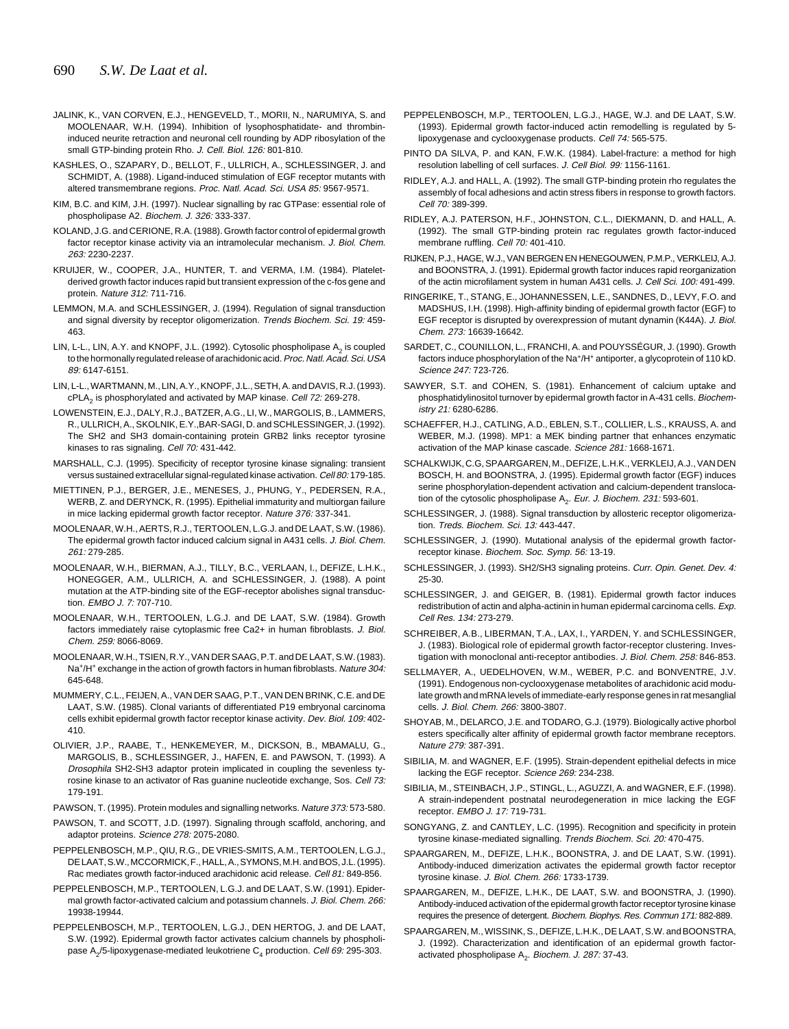- JALINK, K., VAN CORVEN, E.J., HENGEVELD, T., MORII, N., NARUMIYA, S. and MOOLENAAR, W.H. (1994). Inhibition of lysophosphatidate- and thrombininduced neurite retraction and neuronal cell rounding by ADP ribosylation of the small GTP-binding protein Rho. J. Cell. Biol. 126: 801-810.
- KASHLES, O., SZAPARY, D., BELLOT, F., ULLRICH, A., SCHLESSINGER, J. and SCHMIDT, A. (1988). Ligand-induced stimulation of EGF receptor mutants with altered transmembrane regions. Proc. Natl. Acad. Sci. USA 85: 9567-9571.
- KIM, B.C. and KIM, J.H. (1997). Nuclear signalling by rac GTPase: essential role of phospholipase A2. Biochem. J. 326: 333-337.
- KOLAND, J.G. and CERIONE, R.A. (1988). Growth factor control of epidermal growth factor receptor kinase activity via an intramolecular mechanism. J. Biol. Chem. 263: 2230-2237.
- KRUIJER, W., COOPER, J.A., HUNTER, T. and VERMA, I.M. (1984). Plateletderived growth factor induces rapid but transient expression of the c-fos gene and protein. Nature 312: 711-716.
- LEMMON, M.A. and SCHLESSINGER, J. (1994). Regulation of signal transduction and signal diversity by receptor oligomerization. Trends Biochem. Sci. 19: 459-463.
- LIN, L-L., LIN, A.Y. and KNOPF, J.L. (1992). Cytosolic phospholipase A<sub>2</sub> is coupled to the hormonally regulated release of arachidonic acid. Proc. Natl. Acad. Sci. USA 89: 6147-6151.
- LIN, L-L., WARTMANN, M., LIN, A.Y., KNOPF, J.L., SETH, A. and DAVIS, R.J. (1993). cPLA<sub>2</sub> is phosphorylated and activated by MAP kinase. Cell 72: 269-278.
- LOWENSTEIN, E.J., DALY, R.J., BATZER, A.G., LI, W., MARGOLIS, B., LAMMERS, R., ULLRICH, A., SKOLNIK, E.Y.,BAR-SAGI, D. and SCHLESSINGER, J. (1992). The SH2 and SH3 domain-containing protein GRB2 links receptor tyrosine kinases to ras signaling. Cell 70: 431-442.
- MARSHALL, C.J. (1995). Specificity of receptor tyrosine kinase signaling: transient versus sustained extracellular signal-regulated kinase activation. Cell 80: 179-185.
- MIETTINEN, P.J., BERGER, J.E., MENESES, J., PHUNG, Y., PEDERSEN, R.A., WERB, Z. and DERYNCK, R. (1995). Epithelial immaturity and multiorgan failure in mice lacking epidermal growth factor receptor. Nature 376: 337-341.
- MOOLENAAR, W.H., AERTS, R.J., TERTOOLEN, L.G.J. and DE LAAT, S.W. (1986). The epidermal growth factor induced calcium signal in A431 cells. J. Biol. Chem. 261: 279-285.
- MOOLENAAR, W.H., BIERMAN, A.J., TILLY, B.C., VERLAAN, I., DEFIZE, L.H.K., HONEGGER, A.M., ULLRICH, A. and SCHLESSINGER, J. (1988). A point mutation at the ATP-binding site of the EGF-receptor abolishes signal transduction. EMBO J. 7: 707-710.
- MOOLENAAR, W.H., TERTOOLEN, L.G.J. and DE LAAT, S.W. (1984). Growth factors immediately raise cytoplasmic free Ca2+ in human fibroblasts. J. Biol. Chem. 259: 8066-8069.
- MOOLENAAR, W.H., TSIEN, R.Y., VAN DER SAAG, P.T. and DE LAAT, S.W. (1983). Na<sup>+</sup>/H<sup>+</sup> exchange in the action of growth factors in human fibroblasts. Nature 304: 645-648.
- MUMMERY, C.L., FEIJEN, A., VAN DER SAAG, P.T., VAN DEN BRINK, C.E. and DE LAAT, S.W. (1985). Clonal variants of differentiated P19 embryonal carcinoma cells exhibit epidermal growth factor receptor kinase activity. Dev. Biol. 109: 402- 410.
- OLIVIER, J.P., RAABE, T., HENKEMEYER, M., DICKSON, B., MBAMALU, G., MARGOLIS, B., SCHLESSINGER, J., HAFEN, E. and PAWSON, T. (1993). A Drosophila SH2-SH3 adaptor protein implicated in coupling the sevenless tyrosine kinase to an activator of Ras guanine nucleotide exchange, Sos. Cell 73: 179-191.
- PAWSON, T. (1995). Protein modules and signalling networks. Nature 373: 573-580.
- PAWSON, T. and SCOTT, J.D. (1997). Signaling through scaffold, anchoring, and adaptor proteins. Science 278: 2075-2080.
- PEPPELENBOSCH, M.P., QIU, R.G., DE VRIES-SMITS, A.M., TERTOOLEN, L.G.J., DE LAAT, S.W., MCCORMICK, F., HALL, A., SYMONS, M.H. and BOS, J.L. (1995). Rac mediates growth factor-induced arachidonic acid release. Cell 81: 849-856.
- PEPPELENBOSCH, M.P., TERTOOLEN, L.G.J. and DE LAAT, S.W. (1991). Epidermal growth factor-activated calcium and potassium channels. J. Biol. Chem. 266: 19938-19944.
- PEPPELENBOSCH, M.P., TERTOOLEN, L.G.J., DEN HERTOG, J. and DE LAAT, S.W. (1992). Epidermal growth factor activates calcium channels by phospholipase A<sub>2</sub>/5-lipoxygenase-mediated leukotriene  $C<sub>4</sub>$  production. Cell 69: 295-303.
- PEPPELENBOSCH, M.P., TERTOOLEN, L.G.J., HAGE, W.J. and DE LAAT, S.W. (1993). Epidermal growth factor-induced actin remodelling is regulated by 5 lipoxygenase and cyclooxygenase products. Cell 74: 565-575.
- PINTO DA SILVA, P. and KAN, F.W.K. (1984). Label-fracture: a method for high resolution labelling of cell surfaces. J. Cell Biol. 99: 1156-1161.
- RIDLEY, A.J. and HALL, A. (1992). The small GTP-binding protein rho regulates the assembly of focal adhesions and actin stress fibers in response to growth factors. Cell 70: 389-399.
- RIDLEY, A.J. PATERSON, H.F., JOHNSTON, C.L., DIEKMANN, D. and HALL, A. (1992). The small GTP-binding protein rac regulates growth factor-induced membrane ruffling. Cell 70: 401-410.
- RIJKEN, P.J., HAGE, W.J., VAN BERGEN EN HENEGOUWEN, P.M.P., VERKLEIJ, A.J. and BOONSTRA, J. (1991). Epidermal growth factor induces rapid reorganization of the actin microfilament system in human A431 cells. J. Cell Sci. 100: 491-499.
- RINGERIKE, T., STANG, E., JOHANNESSEN, L.E., SANDNES, D., LEVY, F.O. and MADSHUS, I.H. (1998). High-affinity binding of epidermal growth factor (EGF) to EGF receptor is disrupted by overexpression of mutant dynamin (K44A). J. Biol. Chem. 273: 16639-16642.
- SARDET, C., COUNILLON, L., FRANCHI, A. and POUYSSÉGUR, J. (1990). Growth factors induce phosphorylation of the Na+/H+ antiporter, a glycoprotein of 110 kD. Science 247: 723-726.
- SAWYER, S.T. and COHEN, S. (1981). Enhancement of calcium uptake and phosphatidylinositol turnover by epidermal growth factor in A-431 cells. Biochemistry 21: 6280-6286.
- SCHAEFFER, H.J., CATLING, A.D., EBLEN, S.T., COLLIER, L.S., KRAUSS, A. and WEBER, M.J. (1998). MP1: a MEK binding partner that enhances enzymatic activation of the MAP kinase cascade. Science 281: 1668-1671.
- SCHALKWIJK, C.G, SPAARGAREN, M., DEFIZE, L.H.K., VERKLEIJ, A.J., VAN DEN BOSCH, H. and BOONSTRA, J. (1995). Epidermal growth factor (EGF) induces serine phosphorylation-dependent activation and calcium-dependent translocation of the cytosolic phospholipase  $A_2$ . Eur. J. Biochem. 231: 593-601.
- SCHLESSINGER, J. (1988). Signal transduction by allosteric receptor oligomerization. Treds. Biochem. Sci. 13: 443-447.
- SCHLESSINGER, J. (1990). Mutational analysis of the epidermal growth factorreceptor kinase. Biochem. Soc. Symp. 56: 13-19.
- SCHLESSINGER, J. (1993). SH2/SH3 signaling proteins. Curr. Opin. Genet. Dev. 4: 25-30.
- SCHLESSINGER, J. and GEIGER, B. (1981). Epidermal growth factor induces redistribution of actin and alpha-actinin in human epidermal carcinoma cells. Exp. Cell Res. 134: 273-279.
- SCHREIBER, A.B., LIBERMAN, T.A., LAX, I., YARDEN, Y. and SCHLESSINGER, J. (1983). Biological role of epidermal growth factor-receptor clustering. Investigation with monoclonal anti-receptor antibodies. J. Biol. Chem. 258: 846-853.
- SELLMAYER, A., UEDELHOVEN, W.M., WEBER, P.C. and BONVENTRE, J.V. (1991). Endogenous non-cyclooxygenase metabolites of arachidonic acid modulate growth and mRNA levels of immediate-early response genes in rat mesanglial cells. J. Biol. Chem. 266: 3800-3807.
- SHOYAB, M., DELARCO, J.E. and TODARO, G.J. (1979). Biologically active phorbol esters specifically alter affinity of epidermal growth factor membrane receptors. Nature 279: 387-391.
- SIBILIA, M. and WAGNER, E.F. (1995). Strain-dependent epithelial defects in mice lacking the EGF receptor. Science 269: 234-238.
- SIBILIA, M., STEINBACH, J.P., STINGL, L., AGUZZI, A. and WAGNER, E.F. (1998). A strain-independent postnatal neurodegeneration in mice lacking the EGF receptor. EMBO J. 17: 719-731.
- SONGYANG, Z. and CANTLEY, L.C. (1995). Recognition and specificity in protein tyrosine kinase-mediated signalling. Trends Biochem. Sci. 20: 470-475.
- SPAARGAREN, M., DEFIZE, L.H.K., BOONSTRA, J. and DE LAAT, S.W. (1991). Antibody-induced dimerization activates the epidermal growth factor receptor tyrosine kinase. J. Biol. Chem. 266: 1733-1739.
- SPAARGAREN, M., DEFIZE, L.H.K., DE LAAT, S.W. and BOONSTRA, J. (1990). Antibody-induced activation of the epidermal growth factor receptor tyrosine kinase requires the presence of detergent. Biochem. Biophys. Res. Commun 171: 882-889.
- SPAARGAREN, M., WISSINK, S., DEFIZE, L.H.K., DE LAAT, S.W. and BOONSTRA, J. (1992). Characterization and identification of an epidermal growth factoractivated phospholipase  $A_2$ . Biochem. J. 287: 37-43.